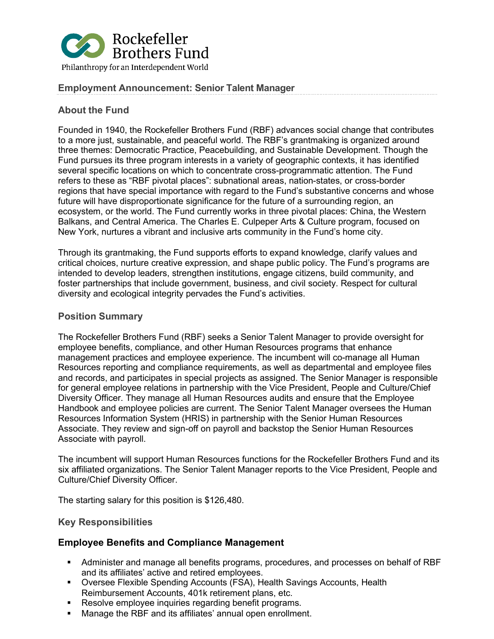

## **Employment Announcement: Senior Talent Manager**

## **About the Fund**

Founded in 1940, the Rockefeller Brothers Fund (RBF) advances social change that contributes to a more just, sustainable, and peaceful world. The RBF's grantmaking is organized around three themes: Democratic Practice, Peacebuilding, and Sustainable Development. Though the Fund pursues its three program interests in a variety of geographic contexts, it has identified several specific locations on which to concentrate cross-programmatic attention. The Fund refers to these as "RBF pivotal places": subnational areas, nation-states, or cross-border regions that have special importance with regard to the Fund's substantive concerns and whose future will have disproportionate significance for the future of a surrounding region, an ecosystem, or the world. The Fund currently works in three pivotal places: China, the Western Balkans, and Central America. The Charles E. Culpeper Arts & Culture program, focused on New York, nurtures a vibrant and inclusive arts community in the Fund's home city.

Through its grantmaking, the Fund supports efforts to expand knowledge, clarify values and critical choices, nurture creative expression, and shape public policy. The Fund's programs are intended to develop leaders, strengthen institutions, engage citizens, build community, and foster partnerships that include government, business, and civil society. Respect for cultural diversity and ecological integrity pervades the Fund's activities.

## **Position Summary**

The Rockefeller Brothers Fund (RBF) seeks a Senior Talent Manager to provide oversight for employee benefits, compliance, and other Human Resources programs that enhance management practices and employee experience. The incumbent will co-manage all Human Resources reporting and compliance requirements, as well as departmental and employee files and records, and participates in special projects as assigned. The Senior Manager is responsible for general employee relations in partnership with the Vice President, People and Culture/Chief Diversity Officer. They manage all Human Resources audits and ensure that the Employee Handbook and employee policies are current. The Senior Talent Manager oversees the Human Resources Information System (HRIS) in partnership with the Senior Human Resources Associate. They review and sign-off on payroll and backstop the Senior Human Resources Associate with payroll.

The incumbent will support Human Resources functions for the Rockefeller Brothers Fund and its six affiliated organizations. The Senior Talent Manager reports to the Vice President, People and Culture/Chief Diversity Officer.

The starting salary for this position is \$126,480.

## **Key Responsibilities**

## **Employee Benefits and Compliance Management**

- Administer and manage all benefits programs, procedures, and processes on behalf of RBF and its affiliates' active and retired employees.
- Oversee Flexible Spending Accounts (FSA), Health Savings Accounts, Health Reimbursement Accounts, 401k retirement plans, etc.
- **Resolve employee inquiries regarding benefit programs.**
- Manage the RBF and its affiliates' annual open enrollment.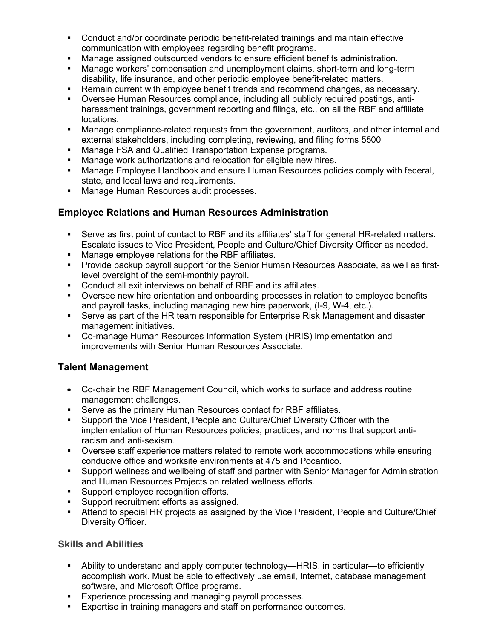- Conduct and/or coordinate periodic benefit-related trainings and maintain effective communication with employees regarding benefit programs.
- Manage assigned outsourced vendors to ensure efficient benefits administration.
- Manage workers' compensation and unemployment claims, short-term and long-term disability, life insurance, and other periodic employee benefit-related matters.
- Remain current with employee benefit trends and recommend changes, as necessary.
- Oversee Human Resources compliance, including all publicly required postings, antiharassment trainings, government reporting and filings, etc., on all the RBF and affiliate locations.
- Manage compliance-related requests from the government, auditors, and other internal and external stakeholders, including completing, reviewing, and filing forms 5500
- Manage FSA and Qualified Transportation Expense programs.
- Manage work authorizations and relocation for eligible new hires.
- Manage Employee Handbook and ensure Human Resources policies comply with federal, state, and local laws and requirements.
- **Manage Human Resources audit processes.**

# **Employee Relations and Human Resources Administration**

- Serve as first point of contact to RBF and its affiliates' staff for general HR-related matters. Escalate issues to Vice President, People and Culture/Chief Diversity Officer as needed.
- **Manage employee relations for the RBF affiliates.**
- Provide backup payroll support for the Senior Human Resources Associate, as well as firstlevel oversight of the semi-monthly payroll.
- Conduct all exit interviews on behalf of RBF and its affiliates.
- Oversee new hire orientation and onboarding processes in relation to employee benefits and payroll tasks, including managing new hire paperwork, (I-9, W-4, etc.).
- Serve as part of the HR team responsible for Enterprise Risk Management and disaster management initiatives.
- Co-manage Human Resources Information System (HRIS) implementation and improvements with Senior Human Resources Associate.

# **Talent Management**

- Co-chair the RBF Management Council, which works to surface and address routine management challenges.
- Serve as the primary Human Resources contact for RBF affiliates.
- Support the Vice President, People and Culture/Chief Diversity Officer with the implementation of Human Resources policies, practices, and norms that support antiracism and anti-sexism.
- Oversee staff experience matters related to remote work accommodations while ensuring conducive office and worksite environments at 475 and Pocantico.
- Support wellness and wellbeing of staff and partner with Senior Manager for Administration and Human Resources Projects on related wellness efforts.
- **Support employee recognition efforts.**
- Support recruitment efforts as assigned.
- Attend to special HR projects as assigned by the Vice President, People and Culture/Chief Diversity Officer.

## **Skills and Abilities**

- Ability to understand and apply computer technology—HRIS, in particular—to efficiently accomplish work. Must be able to effectively use email, Internet, database management software, and Microsoft Office programs.
- **Experience processing and managing payroll processes.**
- **Expertise in training managers and staff on performance outcomes.**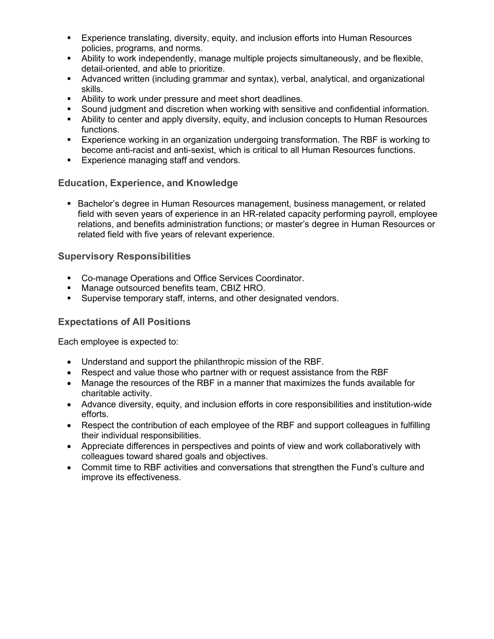- Experience translating, diversity, equity, and inclusion efforts into Human Resources policies, programs, and norms.
- Ability to work independently, manage multiple projects simultaneously, and be flexible, detail-oriented, and able to prioritize.
- Advanced written (including grammar and syntax), verbal, analytical, and organizational skills.
- Ability to work under pressure and meet short deadlines.
- Sound judgment and discretion when working with sensitive and confidential information.
- Ability to center and apply diversity, equity, and inclusion concepts to Human Resources functions.
- Experience working in an organization undergoing transformation. The RBF is working to become anti-racist and anti-sexist, which is critical to all Human Resources functions.
- **Experience managing staff and vendors.**

## **Education, Experience, and Knowledge**

**Bachelor's degree in Human Resources management, business management, or related** field with seven years of experience in an HR-related capacity performing payroll, employee relations, and benefits administration functions; or master's degree in Human Resources or related field with five years of relevant experience.

## **Supervisory Responsibilities**

- **Co-manage Operations and Office Services Coordinator.**
- **Manage outsourced benefits team, CBIZ HRO.**
- **Supervise temporary staff, interns, and other designated vendors.**

## **Expectations of All Positions**

Each employee is expected to:

- Understand and support the philanthropic mission of the RBF.
- Respect and value those who partner with or request assistance from the RBF
- Manage the resources of the RBF in a manner that maximizes the funds available for charitable activity.
- Advance diversity, equity, and inclusion efforts in core responsibilities and institution-wide efforts.
- Respect the contribution of each employee of the RBF and support colleagues in fulfilling their individual responsibilities.
- Appreciate differences in perspectives and points of view and work collaboratively with colleagues toward shared goals and objectives.
- Commit time to RBF activities and conversations that strengthen the Fund's culture and improve its effectiveness.